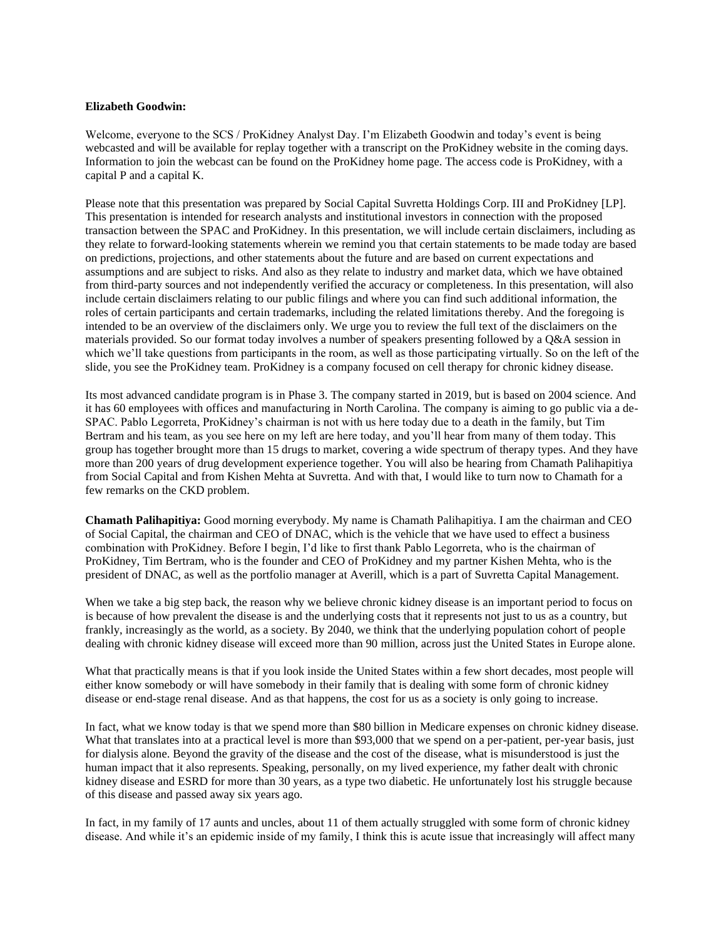### **Elizabeth Goodwin:**

Welcome, everyone to the SCS / ProKidney Analyst Day. I'm Elizabeth Goodwin and today's event is being webcasted and will be available for replay together with a transcript on the ProKidney website in the coming days. Information to join the webcast can be found on the ProKidney home page. The access code is ProKidney, with a capital P and a capital K.

Please note that this presentation was prepared by Social Capital Suvretta Holdings Corp. III and ProKidney [LP]. This presentation is intended for research analysts and institutional investors in connection with the proposed transaction between the SPAC and ProKidney. In this presentation, we will include certain disclaimers, including as they relate to forward-looking statements wherein we remind you that certain statements to be made today are based on predictions, projections, and other statements about the future and are based on current expectations and assumptions and are subject to risks. And also as they relate to industry and market data, which we have obtained from third-party sources and not independently verified the accuracy or completeness. In this presentation, will also include certain disclaimers relating to our public filings and where you can find such additional information, the roles of certain participants and certain trademarks, including the related limitations thereby. And the foregoing is intended to be an overview of the disclaimers only. We urge you to review the full text of the disclaimers on the materials provided. So our format today involves a number of speakers presenting followed by a Q&A session in which we'll take questions from participants in the room, as well as those participating virtually. So on the left of the slide, you see the ProKidney team. ProKidney is a company focused on cell therapy for chronic kidney disease.

Its most advanced candidate program is in Phase 3. The company started in 2019, but is based on 2004 science. And it has 60 employees with offices and manufacturing in North Carolina. The company is aiming to go public via a de-SPAC. Pablo Legorreta, ProKidney's chairman is not with us here today due to a death in the family, but Tim Bertram and his team, as you see here on my left are here today, and you'll hear from many of them today. This group has together brought more than 15 drugs to market, covering a wide spectrum of therapy types. And they have more than 200 years of drug development experience together. You will also be hearing from Chamath Palihapitiya from Social Capital and from Kishen Mehta at Suvretta. And with that, I would like to turn now to Chamath for a few remarks on the CKD problem.

**Chamath Palihapitiya:** Good morning everybody. My name is Chamath Palihapitiya. I am the chairman and CEO of Social Capital, the chairman and CEO of DNAC, which is the vehicle that we have used to effect a business combination with ProKidney. Before I begin, I'd like to first thank Pablo Legorreta, who is the chairman of ProKidney, Tim Bertram, who is the founder and CEO of ProKidney and my partner Kishen Mehta, who is the president of DNAC, as well as the portfolio manager at Averill, which is a part of Suvretta Capital Management.

When we take a big step back, the reason why we believe chronic kidney disease is an important period to focus on is because of how prevalent the disease is and the underlying costs that it represents not just to us as a country, but frankly, increasingly as the world, as a society. By 2040, we think that the underlying population cohort of people dealing with chronic kidney disease will exceed more than 90 million, across just the United States in Europe alone.

What that practically means is that if you look inside the United States within a few short decades, most people will either know somebody or will have somebody in their family that is dealing with some form of chronic kidney disease or end-stage renal disease. And as that happens, the cost for us as a society is only going to increase.

In fact, what we know today is that we spend more than \$80 billion in Medicare expenses on chronic kidney disease. What that translates into at a practical level is more than \$93,000 that we spend on a per-patient, per-year basis, just for dialysis alone. Beyond the gravity of the disease and the cost of the disease, what is misunderstood is just the human impact that it also represents. Speaking, personally, on my lived experience, my father dealt with chronic kidney disease and ESRD for more than 30 years, as a type two diabetic. He unfortunately lost his struggle because of this disease and passed away six years ago.

In fact, in my family of 17 aunts and uncles, about 11 of them actually struggled with some form of chronic kidney disease. And while it's an epidemic inside of my family, I think this is acute issue that increasingly will affect many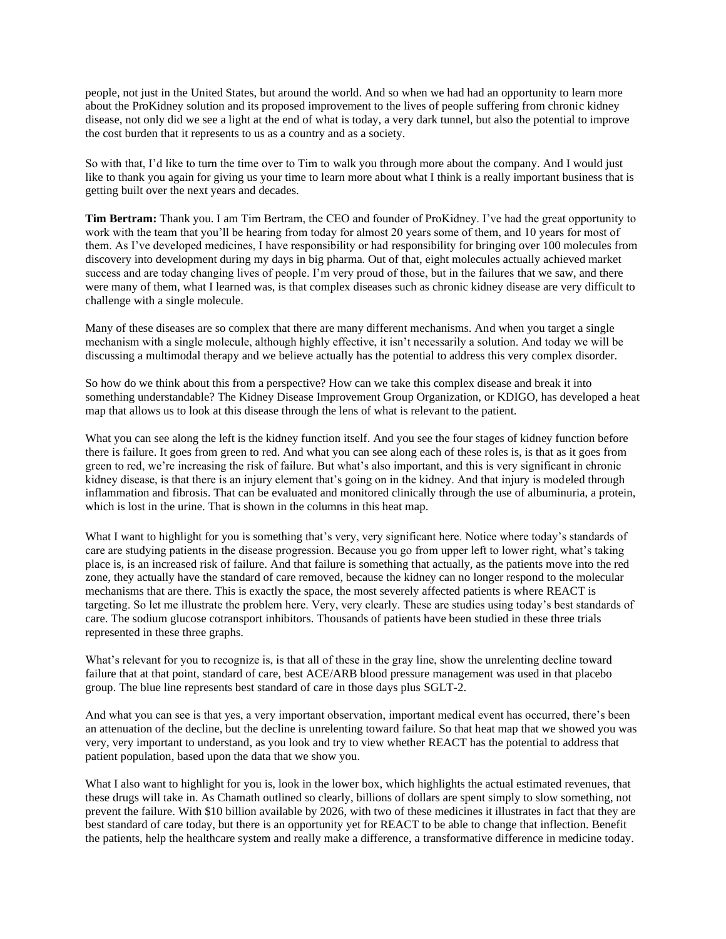people, not just in the United States, but around the world. And so when we had had an opportunity to learn more about the ProKidney solution and its proposed improvement to the lives of people suffering from chronic kidney disease, not only did we see a light at the end of what is today, a very dark tunnel, but also the potential to improve the cost burden that it represents to us as a country and as a society.

So with that, I'd like to turn the time over to Tim to walk you through more about the company. And I would just like to thank you again for giving us your time to learn more about what I think is a really important business that is getting built over the next years and decades.

**Tim Bertram:** Thank you. I am Tim Bertram, the CEO and founder of ProKidney. I've had the great opportunity to work with the team that you'll be hearing from today for almost 20 years some of them, and 10 years for most of them. As I've developed medicines, I have responsibility or had responsibility for bringing over 100 molecules from discovery into development during my days in big pharma. Out of that, eight molecules actually achieved market success and are today changing lives of people. I'm very proud of those, but in the failures that we saw, and there were many of them, what I learned was, is that complex diseases such as chronic kidney disease are very difficult to challenge with a single molecule.

Many of these diseases are so complex that there are many different mechanisms. And when you target a single mechanism with a single molecule, although highly effective, it isn't necessarily a solution. And today we will be discussing a multimodal therapy and we believe actually has the potential to address this very complex disorder.

So how do we think about this from a perspective? How can we take this complex disease and break it into something understandable? The Kidney Disease Improvement Group Organization, or KDIGO, has developed a heat map that allows us to look at this disease through the lens of what is relevant to the patient.

What you can see along the left is the kidney function itself. And you see the four stages of kidney function before there is failure. It goes from green to red. And what you can see along each of these roles is, is that as it goes from green to red, we're increasing the risk of failure. But what's also important, and this is very significant in chronic kidney disease, is that there is an injury element that's going on in the kidney. And that injury is modeled through inflammation and fibrosis. That can be evaluated and monitored clinically through the use of albuminuria, a protein, which is lost in the urine. That is shown in the columns in this heat map.

What I want to highlight for you is something that's very, very significant here. Notice where today's standards of care are studying patients in the disease progression. Because you go from upper left to lower right, what's taking place is, is an increased risk of failure. And that failure is something that actually, as the patients move into the red zone, they actually have the standard of care removed, because the kidney can no longer respond to the molecular mechanisms that are there. This is exactly the space, the most severely affected patients is where REACT is targeting. So let me illustrate the problem here. Very, very clearly. These are studies using today's best standards of care. The sodium glucose cotransport inhibitors. Thousands of patients have been studied in these three trials represented in these three graphs.

What's relevant for you to recognize is, is that all of these in the gray line, show the unrelenting decline toward failure that at that point, standard of care, best ACE/ARB blood pressure management was used in that placebo group. The blue line represents best standard of care in those days plus SGLT-2.

And what you can see is that yes, a very important observation, important medical event has occurred, there's been an attenuation of the decline, but the decline is unrelenting toward failure. So that heat map that we showed you was very, very important to understand, as you look and try to view whether REACT has the potential to address that patient population, based upon the data that we show you.

What I also want to highlight for you is, look in the lower box, which highlights the actual estimated revenues, that these drugs will take in. As Chamath outlined so clearly, billions of dollars are spent simply to slow something, not prevent the failure. With \$10 billion available by 2026, with two of these medicines it illustrates in fact that they are best standard of care today, but there is an opportunity yet for REACT to be able to change that inflection. Benefit the patients, help the healthcare system and really make a difference, a transformative difference in medicine today.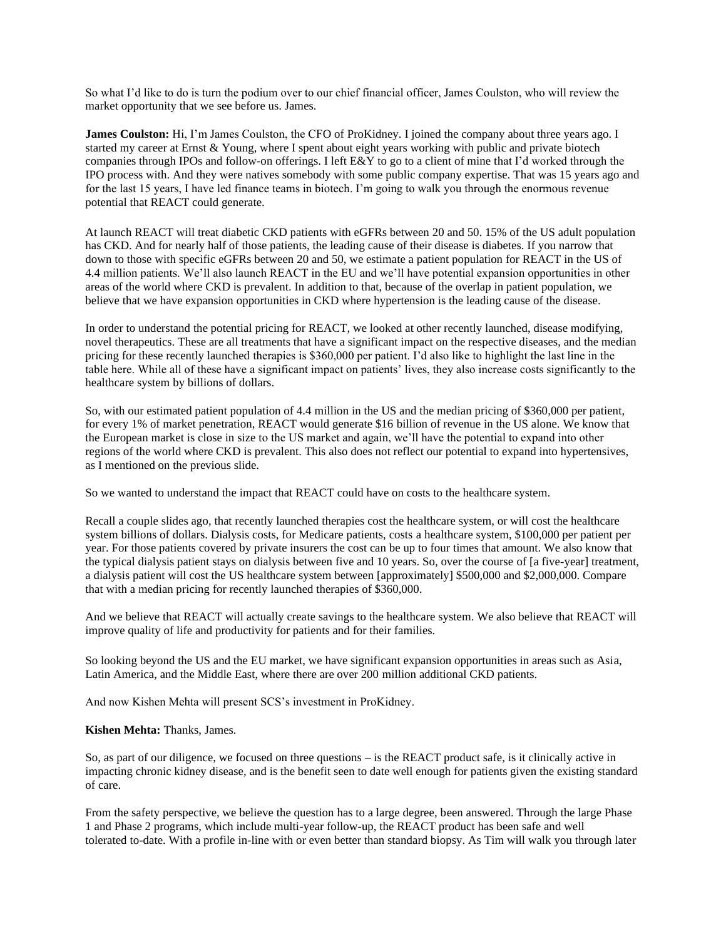So what I'd like to do is turn the podium over to our chief financial officer, James Coulston, who will review the market opportunity that we see before us. James.

**James Coulston:** Hi, I'm James Coulston, the CFO of ProKidney. I joined the company about three years ago. I started my career at Ernst & Young, where I spent about eight years working with public and private biotech companies through IPOs and follow-on offerings. I left E&Y to go to a client of mine that I'd worked through the IPO process with. And they were natives somebody with some public company expertise. That was 15 years ago and for the last 15 years, I have led finance teams in biotech. I'm going to walk you through the enormous revenue potential that REACT could generate.

At launch REACT will treat diabetic CKD patients with eGFRs between 20 and 50. 15% of the US adult population has CKD. And for nearly half of those patients, the leading cause of their disease is diabetes. If you narrow that down to those with specific eGFRs between 20 and 50, we estimate a patient population for REACT in the US of 4.4 million patients. We'll also launch REACT in the EU and we'll have potential expansion opportunities in other areas of the world where CKD is prevalent. In addition to that, because of the overlap in patient population, we believe that we have expansion opportunities in CKD where hypertension is the leading cause of the disease.

In order to understand the potential pricing for REACT, we looked at other recently launched, disease modifying, novel therapeutics. These are all treatments that have a significant impact on the respective diseases, and the median pricing for these recently launched therapies is \$360,000 per patient. I'd also like to highlight the last line in the table here. While all of these have a significant impact on patients' lives, they also increase costs significantly to the healthcare system by billions of dollars.

So, with our estimated patient population of 4.4 million in the US and the median pricing of \$360,000 per patient, for every 1% of market penetration, REACT would generate \$16 billion of revenue in the US alone. We know that the European market is close in size to the US market and again, we'll have the potential to expand into other regions of the world where CKD is prevalent. This also does not reflect our potential to expand into hypertensives, as I mentioned on the previous slide.

So we wanted to understand the impact that REACT could have on costs to the healthcare system.

Recall a couple slides ago, that recently launched therapies cost the healthcare system, or will cost the healthcare system billions of dollars. Dialysis costs, for Medicare patients, costs a healthcare system, \$100,000 per patient per year. For those patients covered by private insurers the cost can be up to four times that amount. We also know that the typical dialysis patient stays on dialysis between five and 10 years. So, over the course of [a five-year] treatment, a dialysis patient will cost the US healthcare system between [approximately] \$500,000 and \$2,000,000. Compare that with a median pricing for recently launched therapies of \$360,000.

And we believe that REACT will actually create savings to the healthcare system. We also believe that REACT will improve quality of life and productivity for patients and for their families.

So looking beyond the US and the EU market, we have significant expansion opportunities in areas such as Asia, Latin America, and the Middle East, where there are over 200 million additional CKD patients.

And now Kishen Mehta will present SCS's investment in ProKidney.

### **Kishen Mehta:** Thanks, James.

So, as part of our diligence, we focused on three questions – is the REACT product safe, is it clinically active in impacting chronic kidney disease, and is the benefit seen to date well enough for patients given the existing standard of care.

From the safety perspective, we believe the question has to a large degree, been answered. Through the large Phase 1 and Phase 2 programs, which include multi-year follow-up, the REACT product has been safe and well tolerated to-date. With a profile in-line with or even better than standard biopsy. As Tim will walk you through later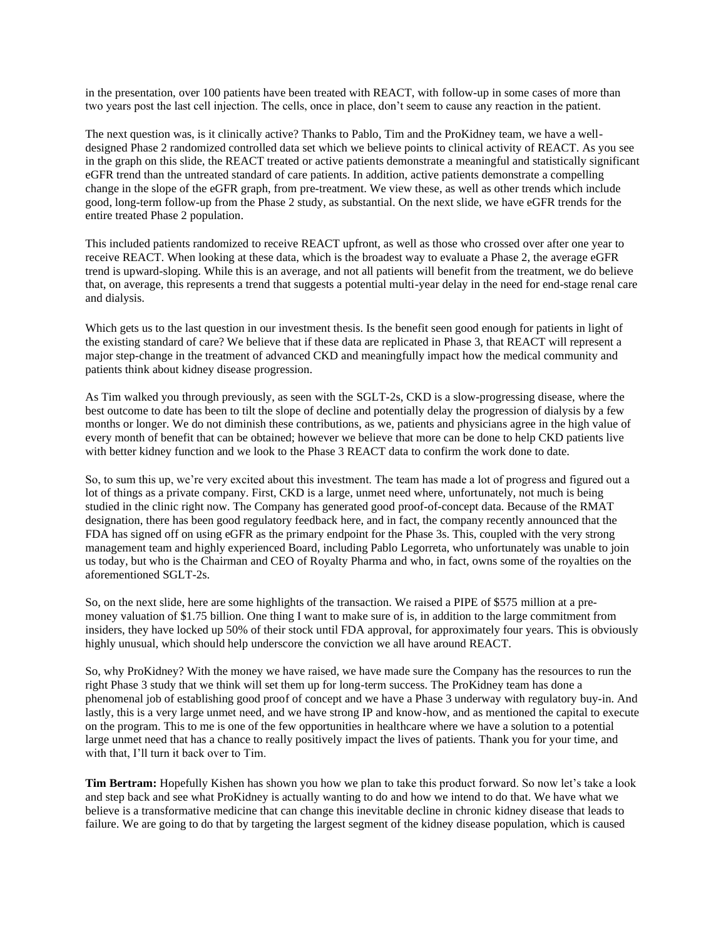in the presentation, over 100 patients have been treated with REACT, with follow-up in some cases of more than two years post the last cell injection. The cells, once in place, don't seem to cause any reaction in the patient.

The next question was, is it clinically active? Thanks to Pablo, Tim and the ProKidney team, we have a welldesigned Phase 2 randomized controlled data set which we believe points to clinical activity of REACT. As you see in the graph on this slide, the REACT treated or active patients demonstrate a meaningful and statistically significant eGFR trend than the untreated standard of care patients. In addition, active patients demonstrate a compelling change in the slope of the eGFR graph, from pre-treatment. We view these, as well as other trends which include good, long-term follow-up from the Phase 2 study, as substantial. On the next slide, we have eGFR trends for the entire treated Phase 2 population.

This included patients randomized to receive REACT upfront, as well as those who crossed over after one year to receive REACT. When looking at these data, which is the broadest way to evaluate a Phase 2, the average eGFR trend is upward-sloping. While this is an average, and not all patients will benefit from the treatment, we do believe that, on average, this represents a trend that suggests a potential multi-year delay in the need for end-stage renal care and dialysis.

Which gets us to the last question in our investment thesis. Is the benefit seen good enough for patients in light of the existing standard of care? We believe that if these data are replicated in Phase 3, that REACT will represent a major step-change in the treatment of advanced CKD and meaningfully impact how the medical community and patients think about kidney disease progression.

As Tim walked you through previously, as seen with the SGLT-2s, CKD is a slow-progressing disease, where the best outcome to date has been to tilt the slope of decline and potentially delay the progression of dialysis by a few months or longer. We do not diminish these contributions, as we, patients and physicians agree in the high value of every month of benefit that can be obtained; however we believe that more can be done to help CKD patients live with better kidney function and we look to the Phase 3 REACT data to confirm the work done to date.

So, to sum this up, we're very excited about this investment. The team has made a lot of progress and figured out a lot of things as a private company. First, CKD is a large, unmet need where, unfortunately, not much is being studied in the clinic right now. The Company has generated good proof-of-concept data. Because of the RMAT designation, there has been good regulatory feedback here, and in fact, the company recently announced that the FDA has signed off on using eGFR as the primary endpoint for the Phase 3s. This, coupled with the very strong management team and highly experienced Board, including Pablo Legorreta, who unfortunately was unable to join us today, but who is the Chairman and CEO of Royalty Pharma and who, in fact, owns some of the royalties on the aforementioned SGLT-2s.

So, on the next slide, here are some highlights of the transaction. We raised a PIPE of \$575 million at a premoney valuation of \$1.75 billion. One thing I want to make sure of is, in addition to the large commitment from insiders, they have locked up 50% of their stock until FDA approval, for approximately four years. This is obviously highly unusual, which should help underscore the conviction we all have around REACT.

So, why ProKidney? With the money we have raised, we have made sure the Company has the resources to run the right Phase 3 study that we think will set them up for long-term success. The ProKidney team has done a phenomenal job of establishing good proof of concept and we have a Phase 3 underway with regulatory buy-in. And lastly, this is a very large unmet need, and we have strong IP and know-how, and as mentioned the capital to execute on the program. This to me is one of the few opportunities in healthcare where we have a solution to a potential large unmet need that has a chance to really positively impact the lives of patients. Thank you for your time, and with that, I'll turn it back over to Tim.

**Tim Bertram:** Hopefully Kishen has shown you how we plan to take this product forward. So now let's take a look and step back and see what ProKidney is actually wanting to do and how we intend to do that. We have what we believe is a transformative medicine that can change this inevitable decline in chronic kidney disease that leads to failure. We are going to do that by targeting the largest segment of the kidney disease population, which is caused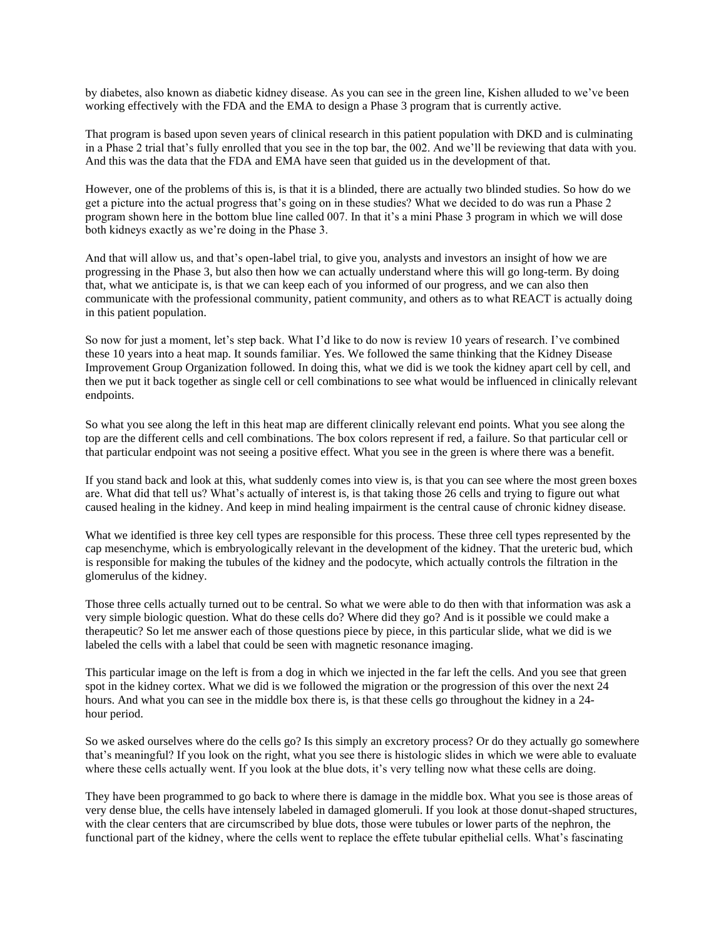by diabetes, also known as diabetic kidney disease. As you can see in the green line, Kishen alluded to we've been working effectively with the FDA and the EMA to design a Phase 3 program that is currently active.

That program is based upon seven years of clinical research in this patient population with DKD and is culminating in a Phase 2 trial that's fully enrolled that you see in the top bar, the 002. And we'll be reviewing that data with you. And this was the data that the FDA and EMA have seen that guided us in the development of that.

However, one of the problems of this is, is that it is a blinded, there are actually two blinded studies. So how do we get a picture into the actual progress that's going on in these studies? What we decided to do was run a Phase 2 program shown here in the bottom blue line called 007. In that it's a mini Phase 3 program in which we will dose both kidneys exactly as we're doing in the Phase 3.

And that will allow us, and that's open-label trial, to give you, analysts and investors an insight of how we are progressing in the Phase 3, but also then how we can actually understand where this will go long-term. By doing that, what we anticipate is, is that we can keep each of you informed of our progress, and we can also then communicate with the professional community, patient community, and others as to what REACT is actually doing in this patient population.

So now for just a moment, let's step back. What I'd like to do now is review 10 years of research. I've combined these 10 years into a heat map. It sounds familiar. Yes. We followed the same thinking that the Kidney Disease Improvement Group Organization followed. In doing this, what we did is we took the kidney apart cell by cell, and then we put it back together as single cell or cell combinations to see what would be influenced in clinically relevant endpoints.

So what you see along the left in this heat map are different clinically relevant end points. What you see along the top are the different cells and cell combinations. The box colors represent if red, a failure. So that particular cell or that particular endpoint was not seeing a positive effect. What you see in the green is where there was a benefit.

If you stand back and look at this, what suddenly comes into view is, is that you can see where the most green boxes are. What did that tell us? What's actually of interest is, is that taking those 26 cells and trying to figure out what caused healing in the kidney. And keep in mind healing impairment is the central cause of chronic kidney disease.

What we identified is three key cell types are responsible for this process. These three cell types represented by the cap mesenchyme, which is embryologically relevant in the development of the kidney. That the ureteric bud, which is responsible for making the tubules of the kidney and the podocyte, which actually controls the filtration in the glomerulus of the kidney.

Those three cells actually turned out to be central. So what we were able to do then with that information was ask a very simple biologic question. What do these cells do? Where did they go? And is it possible we could make a therapeutic? So let me answer each of those questions piece by piece, in this particular slide, what we did is we labeled the cells with a label that could be seen with magnetic resonance imaging.

This particular image on the left is from a dog in which we injected in the far left the cells. And you see that green spot in the kidney cortex. What we did is we followed the migration or the progression of this over the next 24 hours. And what you can see in the middle box there is, is that these cells go throughout the kidney in a 24 hour period.

So we asked ourselves where do the cells go? Is this simply an excretory process? Or do they actually go somewhere that's meaningful? If you look on the right, what you see there is histologic slides in which we were able to evaluate where these cells actually went. If you look at the blue dots, it's very telling now what these cells are doing.

They have been programmed to go back to where there is damage in the middle box. What you see is those areas of very dense blue, the cells have intensely labeled in damaged glomeruli. If you look at those donut-shaped structures, with the clear centers that are circumscribed by blue dots, those were tubules or lower parts of the nephron, the functional part of the kidney, where the cells went to replace the effete tubular epithelial cells. What's fascinating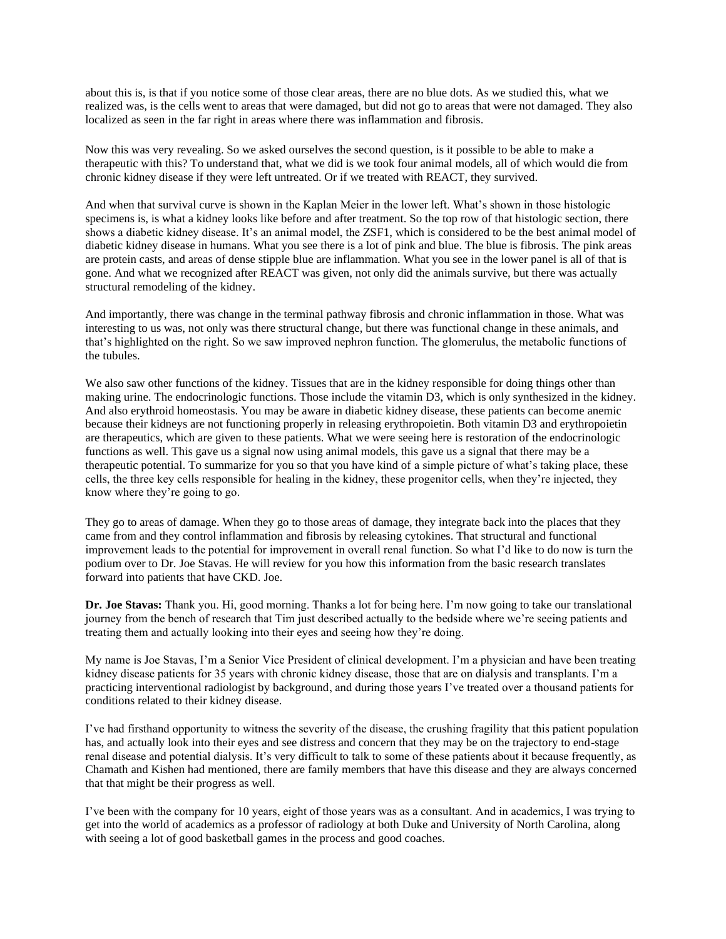about this is, is that if you notice some of those clear areas, there are no blue dots. As we studied this, what we realized was, is the cells went to areas that were damaged, but did not go to areas that were not damaged. They also localized as seen in the far right in areas where there was inflammation and fibrosis.

Now this was very revealing. So we asked ourselves the second question, is it possible to be able to make a therapeutic with this? To understand that, what we did is we took four animal models, all of which would die from chronic kidney disease if they were left untreated. Or if we treated with REACT, they survived.

And when that survival curve is shown in the Kaplan Meier in the lower left. What's shown in those histologic specimens is, is what a kidney looks like before and after treatment. So the top row of that histologic section, there shows a diabetic kidney disease. It's an animal model, the ZSF1, which is considered to be the best animal model of diabetic kidney disease in humans. What you see there is a lot of pink and blue. The blue is fibrosis. The pink areas are protein casts, and areas of dense stipple blue are inflammation. What you see in the lower panel is all of that is gone. And what we recognized after REACT was given, not only did the animals survive, but there was actually structural remodeling of the kidney.

And importantly, there was change in the terminal pathway fibrosis and chronic inflammation in those. What was interesting to us was, not only was there structural change, but there was functional change in these animals, and that's highlighted on the right. So we saw improved nephron function. The glomerulus, the metabolic functions of the tubules.

We also saw other functions of the kidney. Tissues that are in the kidney responsible for doing things other than making urine. The endocrinologic functions. Those include the vitamin D3, which is only synthesized in the kidney. And also erythroid homeostasis. You may be aware in diabetic kidney disease, these patients can become anemic because their kidneys are not functioning properly in releasing erythropoietin. Both vitamin D3 and erythropoietin are therapeutics, which are given to these patients. What we were seeing here is restoration of the endocrinologic functions as well. This gave us a signal now using animal models, this gave us a signal that there may be a therapeutic potential. To summarize for you so that you have kind of a simple picture of what's taking place, these cells, the three key cells responsible for healing in the kidney, these progenitor cells, when they're injected, they know where they're going to go.

They go to areas of damage. When they go to those areas of damage, they integrate back into the places that they came from and they control inflammation and fibrosis by releasing cytokines. That structural and functional improvement leads to the potential for improvement in overall renal function. So what I'd like to do now is turn the podium over to Dr. Joe Stavas. He will review for you how this information from the basic research translates forward into patients that have CKD. Joe.

**Dr. Joe Stavas:** Thank you. Hi, good morning. Thanks a lot for being here. I'm now going to take our translational journey from the bench of research that Tim just described actually to the bedside where we're seeing patients and treating them and actually looking into their eyes and seeing how they're doing.

My name is Joe Stavas, I'm a Senior Vice President of clinical development. I'm a physician and have been treating kidney disease patients for 35 years with chronic kidney disease, those that are on dialysis and transplants. I'm a practicing interventional radiologist by background, and during those years I've treated over a thousand patients for conditions related to their kidney disease.

I've had firsthand opportunity to witness the severity of the disease, the crushing fragility that this patient population has, and actually look into their eyes and see distress and concern that they may be on the trajectory to end-stage renal disease and potential dialysis. It's very difficult to talk to some of these patients about it because frequently, as Chamath and Kishen had mentioned, there are family members that have this disease and they are always concerned that that might be their progress as well.

I've been with the company for 10 years, eight of those years was as a consultant. And in academics, I was trying to get into the world of academics as a professor of radiology at both Duke and University of North Carolina, along with seeing a lot of good basketball games in the process and good coaches.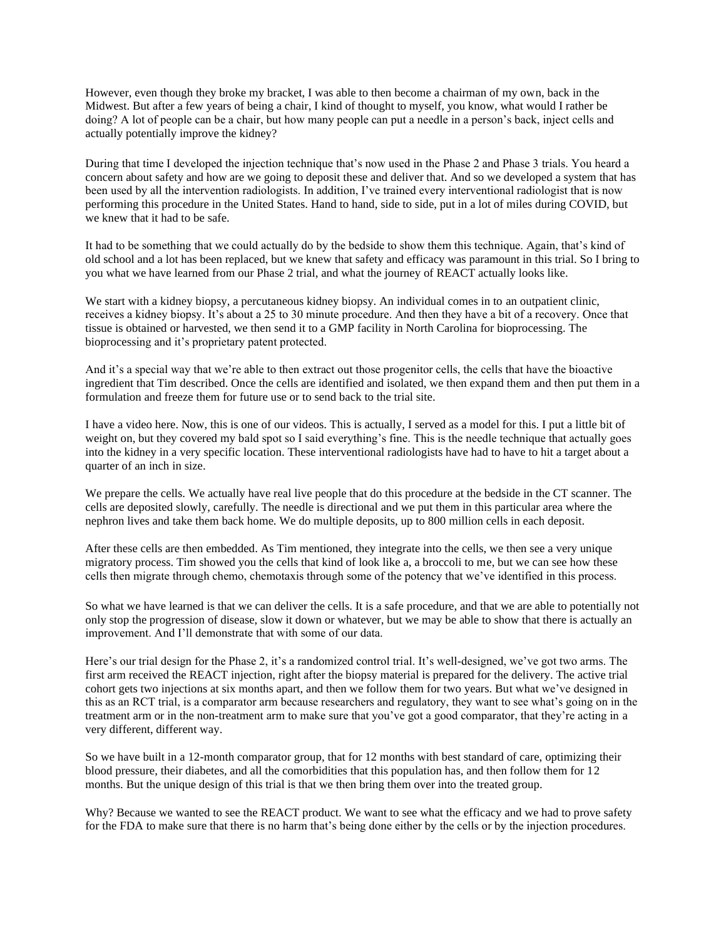However, even though they broke my bracket, I was able to then become a chairman of my own, back in the Midwest. But after a few years of being a chair, I kind of thought to myself, you know, what would I rather be doing? A lot of people can be a chair, but how many people can put a needle in a person's back, inject cells and actually potentially improve the kidney?

During that time I developed the injection technique that's now used in the Phase 2 and Phase 3 trials. You heard a concern about safety and how are we going to deposit these and deliver that. And so we developed a system that has been used by all the intervention radiologists. In addition, I've trained every interventional radiologist that is now performing this procedure in the United States. Hand to hand, side to side, put in a lot of miles during COVID, but we knew that it had to be safe.

It had to be something that we could actually do by the bedside to show them this technique. Again, that's kind of old school and a lot has been replaced, but we knew that safety and efficacy was paramount in this trial. So I bring to you what we have learned from our Phase 2 trial, and what the journey of REACT actually looks like.

We start with a kidney biopsy, a percutaneous kidney biopsy. An individual comes in to an outpatient clinic, receives a kidney biopsy. It's about a 25 to 30 minute procedure. And then they have a bit of a recovery. Once that tissue is obtained or harvested, we then send it to a GMP facility in North Carolina for bioprocessing. The bioprocessing and it's proprietary patent protected.

And it's a special way that we're able to then extract out those progenitor cells, the cells that have the bioactive ingredient that Tim described. Once the cells are identified and isolated, we then expand them and then put them in a formulation and freeze them for future use or to send back to the trial site.

I have a video here. Now, this is one of our videos. This is actually, I served as a model for this. I put a little bit of weight on, but they covered my bald spot so I said everything's fine. This is the needle technique that actually goes into the kidney in a very specific location. These interventional radiologists have had to have to hit a target about a quarter of an inch in size.

We prepare the cells. We actually have real live people that do this procedure at the bedside in the CT scanner. The cells are deposited slowly, carefully. The needle is directional and we put them in this particular area where the nephron lives and take them back home. We do multiple deposits, up to 800 million cells in each deposit.

After these cells are then embedded. As Tim mentioned, they integrate into the cells, we then see a very unique migratory process. Tim showed you the cells that kind of look like a, a broccoli to me, but we can see how these cells then migrate through chemo, chemotaxis through some of the potency that we've identified in this process.

So what we have learned is that we can deliver the cells. It is a safe procedure, and that we are able to potentially not only stop the progression of disease, slow it down or whatever, but we may be able to show that there is actually an improvement. And I'll demonstrate that with some of our data.

Here's our trial design for the Phase 2, it's a randomized control trial. It's well-designed, we've got two arms. The first arm received the REACT injection, right after the biopsy material is prepared for the delivery. The active trial cohort gets two injections at six months apart, and then we follow them for two years. But what we've designed in this as an RCT trial, is a comparator arm because researchers and regulatory, they want to see what's going on in the treatment arm or in the non-treatment arm to make sure that you've got a good comparator, that they're acting in a very different, different way.

So we have built in a 12-month comparator group, that for 12 months with best standard of care, optimizing their blood pressure, their diabetes, and all the comorbidities that this population has, and then follow them for 12 months. But the unique design of this trial is that we then bring them over into the treated group.

Why? Because we wanted to see the REACT product. We want to see what the efficacy and we had to prove safety for the FDA to make sure that there is no harm that's being done either by the cells or by the injection procedures.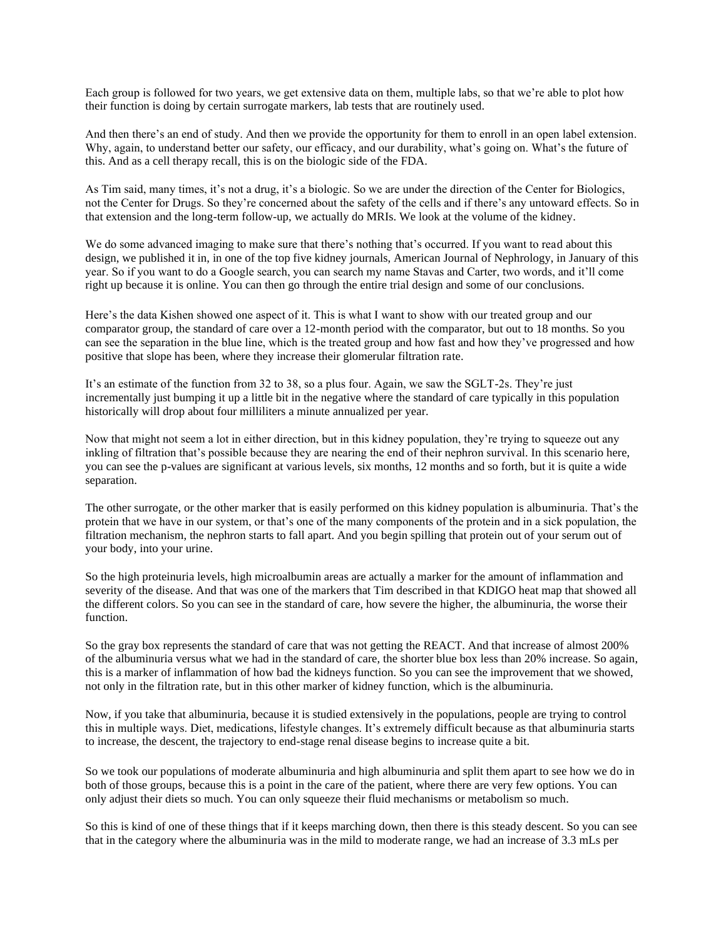Each group is followed for two years, we get extensive data on them, multiple labs, so that we're able to plot how their function is doing by certain surrogate markers, lab tests that are routinely used.

And then there's an end of study. And then we provide the opportunity for them to enroll in an open label extension. Why, again, to understand better our safety, our efficacy, and our durability, what's going on. What's the future of this. And as a cell therapy recall, this is on the biologic side of the FDA.

As Tim said, many times, it's not a drug, it's a biologic. So we are under the direction of the Center for Biologics, not the Center for Drugs. So they're concerned about the safety of the cells and if there's any untoward effects. So in that extension and the long-term follow-up, we actually do MRIs. We look at the volume of the kidney.

We do some advanced imaging to make sure that there's nothing that's occurred. If you want to read about this design, we published it in, in one of the top five kidney journals, American Journal of Nephrology, in January of this year. So if you want to do a Google search, you can search my name Stavas and Carter, two words, and it'll come right up because it is online. You can then go through the entire trial design and some of our conclusions.

Here's the data Kishen showed one aspect of it. This is what I want to show with our treated group and our comparator group, the standard of care over a 12-month period with the comparator, but out to 18 months. So you can see the separation in the blue line, which is the treated group and how fast and how they've progressed and how positive that slope has been, where they increase their glomerular filtration rate.

It's an estimate of the function from 32 to 38, so a plus four. Again, we saw the SGLT-2s. They're just incrementally just bumping it up a little bit in the negative where the standard of care typically in this population historically will drop about four milliliters a minute annualized per year.

Now that might not seem a lot in either direction, but in this kidney population, they're trying to squeeze out any inkling of filtration that's possible because they are nearing the end of their nephron survival. In this scenario here, you can see the p-values are significant at various levels, six months, 12 months and so forth, but it is quite a wide separation.

The other surrogate, or the other marker that is easily performed on this kidney population is albuminuria. That's the protein that we have in our system, or that's one of the many components of the protein and in a sick population, the filtration mechanism, the nephron starts to fall apart. And you begin spilling that protein out of your serum out of your body, into your urine.

So the high proteinuria levels, high microalbumin areas are actually a marker for the amount of inflammation and severity of the disease. And that was one of the markers that Tim described in that KDIGO heat map that showed all the different colors. So you can see in the standard of care, how severe the higher, the albuminuria, the worse their function.

So the gray box represents the standard of care that was not getting the REACT. And that increase of almost 200% of the albuminuria versus what we had in the standard of care, the shorter blue box less than 20% increase. So again, this is a marker of inflammation of how bad the kidneys function. So you can see the improvement that we showed, not only in the filtration rate, but in this other marker of kidney function, which is the albuminuria.

Now, if you take that albuminuria, because it is studied extensively in the populations, people are trying to control this in multiple ways. Diet, medications, lifestyle changes. It's extremely difficult because as that albuminuria starts to increase, the descent, the trajectory to end-stage renal disease begins to increase quite a bit.

So we took our populations of moderate albuminuria and high albuminuria and split them apart to see how we do in both of those groups, because this is a point in the care of the patient, where there are very few options. You can only adjust their diets so much. You can only squeeze their fluid mechanisms or metabolism so much.

So this is kind of one of these things that if it keeps marching down, then there is this steady descent. So you can see that in the category where the albuminuria was in the mild to moderate range, we had an increase of 3.3 mLs per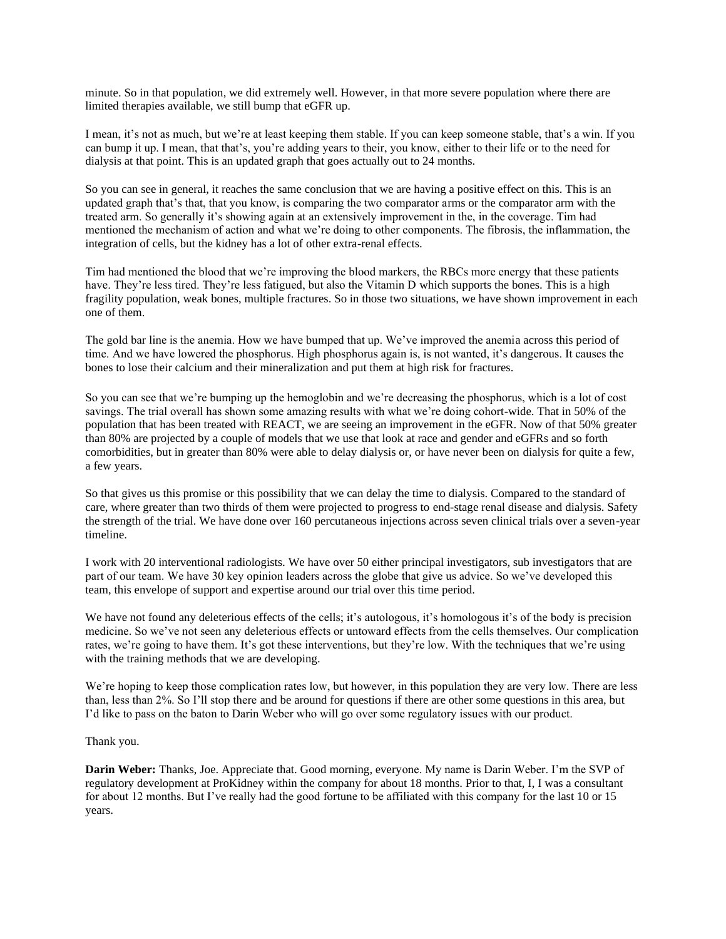minute. So in that population, we did extremely well. However, in that more severe population where there are limited therapies available, we still bump that eGFR up.

I mean, it's not as much, but we're at least keeping them stable. If you can keep someone stable, that's a win. If you can bump it up. I mean, that that's, you're adding years to their, you know, either to their life or to the need for dialysis at that point. This is an updated graph that goes actually out to 24 months.

So you can see in general, it reaches the same conclusion that we are having a positive effect on this. This is an updated graph that's that, that you know, is comparing the two comparator arms or the comparator arm with the treated arm. So generally it's showing again at an extensively improvement in the, in the coverage. Tim had mentioned the mechanism of action and what we're doing to other components. The fibrosis, the inflammation, the integration of cells, but the kidney has a lot of other extra-renal effects.

Tim had mentioned the blood that we're improving the blood markers, the RBCs more energy that these patients have. They're less tired. They're less fatigued, but also the Vitamin D which supports the bones. This is a high fragility population, weak bones, multiple fractures. So in those two situations, we have shown improvement in each one of them.

The gold bar line is the anemia. How we have bumped that up. We've improved the anemia across this period of time. And we have lowered the phosphorus. High phosphorus again is, is not wanted, it's dangerous. It causes the bones to lose their calcium and their mineralization and put them at high risk for fractures.

So you can see that we're bumping up the hemoglobin and we're decreasing the phosphorus, which is a lot of cost savings. The trial overall has shown some amazing results with what we're doing cohort-wide. That in 50% of the population that has been treated with REACT, we are seeing an improvement in the eGFR. Now of that 50% greater than 80% are projected by a couple of models that we use that look at race and gender and eGFRs and so forth comorbidities, but in greater than 80% were able to delay dialysis or, or have never been on dialysis for quite a few, a few years.

So that gives us this promise or this possibility that we can delay the time to dialysis. Compared to the standard of care, where greater than two thirds of them were projected to progress to end-stage renal disease and dialysis. Safety the strength of the trial. We have done over 160 percutaneous injections across seven clinical trials over a seven-year timeline.

I work with 20 interventional radiologists. We have over 50 either principal investigators, sub investigators that are part of our team. We have 30 key opinion leaders across the globe that give us advice. So we've developed this team, this envelope of support and expertise around our trial over this time period.

We have not found any deleterious effects of the cells; it's autologous, it's homologous it's of the body is precision medicine. So we've not seen any deleterious effects or untoward effects from the cells themselves. Our complication rates, we're going to have them. It's got these interventions, but they're low. With the techniques that we're using with the training methods that we are developing.

We're hoping to keep those complication rates low, but however, in this population they are very low. There are less than, less than 2%. So I'll stop there and be around for questions if there are other some questions in this area, but I'd like to pass on the baton to Darin Weber who will go over some regulatory issues with our product.

### Thank you.

**Darin Weber:** Thanks, Joe. Appreciate that. Good morning, everyone. My name is Darin Weber. I'm the SVP of regulatory development at ProKidney within the company for about 18 months. Prior to that, I, I was a consultant for about 12 months. But I've really had the good fortune to be affiliated with this company for the last 10 or 15 years.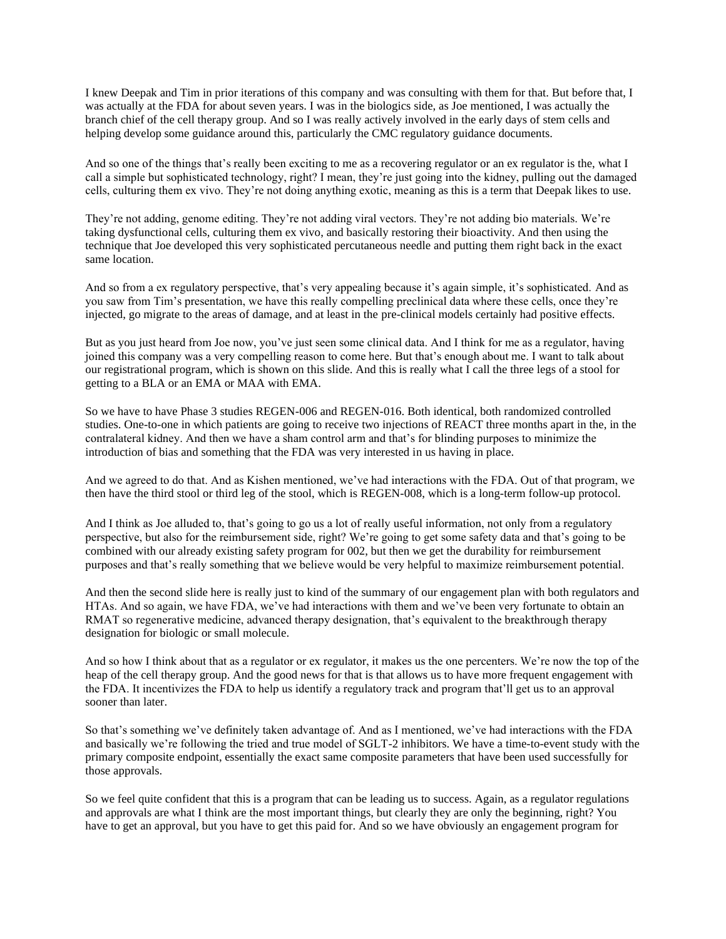I knew Deepak and Tim in prior iterations of this company and was consulting with them for that. But before that, I was actually at the FDA for about seven years. I was in the biologics side, as Joe mentioned, I was actually the branch chief of the cell therapy group. And so I was really actively involved in the early days of stem cells and helping develop some guidance around this, particularly the CMC regulatory guidance documents.

And so one of the things that's really been exciting to me as a recovering regulator or an ex regulator is the, what I call a simple but sophisticated technology, right? I mean, they're just going into the kidney, pulling out the damaged cells, culturing them ex vivo. They're not doing anything exotic, meaning as this is a term that Deepak likes to use.

They're not adding, genome editing. They're not adding viral vectors. They're not adding bio materials. We're taking dysfunctional cells, culturing them ex vivo, and basically restoring their bioactivity. And then using the technique that Joe developed this very sophisticated percutaneous needle and putting them right back in the exact same location.

And so from a ex regulatory perspective, that's very appealing because it's again simple, it's sophisticated. And as you saw from Tim's presentation, we have this really compelling preclinical data where these cells, once they're injected, go migrate to the areas of damage, and at least in the pre-clinical models certainly had positive effects.

But as you just heard from Joe now, you've just seen some clinical data. And I think for me as a regulator, having joined this company was a very compelling reason to come here. But that's enough about me. I want to talk about our registrational program, which is shown on this slide. And this is really what I call the three legs of a stool for getting to a BLA or an EMA or MAA with EMA.

So we have to have Phase 3 studies REGEN-006 and REGEN-016. Both identical, both randomized controlled studies. One-to-one in which patients are going to receive two injections of REACT three months apart in the, in the contralateral kidney. And then we have a sham control arm and that's for blinding purposes to minimize the introduction of bias and something that the FDA was very interested in us having in place.

And we agreed to do that. And as Kishen mentioned, we've had interactions with the FDA. Out of that program, we then have the third stool or third leg of the stool, which is REGEN-008, which is a long-term follow-up protocol.

And I think as Joe alluded to, that's going to go us a lot of really useful information, not only from a regulatory perspective, but also for the reimbursement side, right? We're going to get some safety data and that's going to be combined with our already existing safety program for 002, but then we get the durability for reimbursement purposes and that's really something that we believe would be very helpful to maximize reimbursement potential.

And then the second slide here is really just to kind of the summary of our engagement plan with both regulators and HTAs. And so again, we have FDA, we've had interactions with them and we've been very fortunate to obtain an RMAT so regenerative medicine, advanced therapy designation, that's equivalent to the breakthrough therapy designation for biologic or small molecule.

And so how I think about that as a regulator or ex regulator, it makes us the one percenters. We're now the top of the heap of the cell therapy group. And the good news for that is that allows us to have more frequent engagement with the FDA. It incentivizes the FDA to help us identify a regulatory track and program that'll get us to an approval sooner than later.

So that's something we've definitely taken advantage of. And as I mentioned, we've had interactions with the FDA and basically we're following the tried and true model of SGLT-2 inhibitors. We have a time-to-event study with the primary composite endpoint, essentially the exact same composite parameters that have been used successfully for those approvals.

So we feel quite confident that this is a program that can be leading us to success. Again, as a regulator regulations and approvals are what I think are the most important things, but clearly they are only the beginning, right? You have to get an approval, but you have to get this paid for. And so we have obviously an engagement program for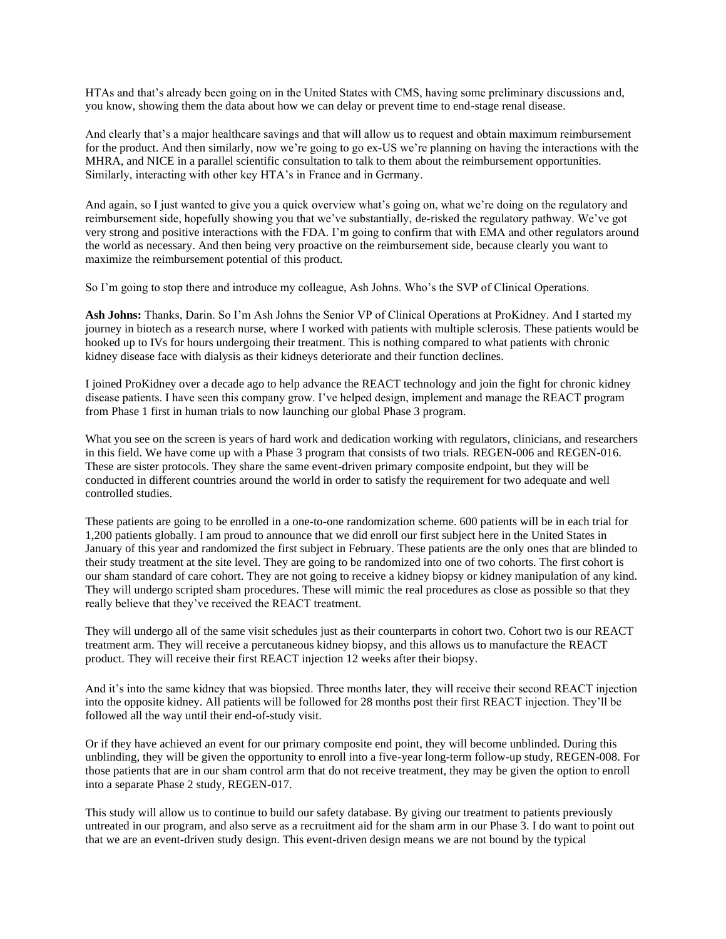HTAs and that's already been going on in the United States with CMS, having some preliminary discussions and, you know, showing them the data about how we can delay or prevent time to end-stage renal disease.

And clearly that's a major healthcare savings and that will allow us to request and obtain maximum reimbursement for the product. And then similarly, now we're going to go ex-US we're planning on having the interactions with the MHRA, and NICE in a parallel scientific consultation to talk to them about the reimbursement opportunities. Similarly, interacting with other key HTA's in France and in Germany.

And again, so I just wanted to give you a quick overview what's going on, what we're doing on the regulatory and reimbursement side, hopefully showing you that we've substantially, de-risked the regulatory pathway. We've got very strong and positive interactions with the FDA. I'm going to confirm that with EMA and other regulators around the world as necessary. And then being very proactive on the reimbursement side, because clearly you want to maximize the reimbursement potential of this product.

So I'm going to stop there and introduce my colleague, Ash Johns. Who's the SVP of Clinical Operations.

**Ash Johns:** Thanks, Darin. So I'm Ash Johns the Senior VP of Clinical Operations at ProKidney. And I started my journey in biotech as a research nurse, where I worked with patients with multiple sclerosis. These patients would be hooked up to IVs for hours undergoing their treatment. This is nothing compared to what patients with chronic kidney disease face with dialysis as their kidneys deteriorate and their function declines.

I joined ProKidney over a decade ago to help advance the REACT technology and join the fight for chronic kidney disease patients. I have seen this company grow. I've helped design, implement and manage the REACT program from Phase 1 first in human trials to now launching our global Phase 3 program.

What you see on the screen is years of hard work and dedication working with regulators, clinicians, and researchers in this field. We have come up with a Phase 3 program that consists of two trials. REGEN-006 and REGEN-016. These are sister protocols. They share the same event-driven primary composite endpoint, but they will be conducted in different countries around the world in order to satisfy the requirement for two adequate and well controlled studies.

These patients are going to be enrolled in a one-to-one randomization scheme. 600 patients will be in each trial for 1,200 patients globally. I am proud to announce that we did enroll our first subject here in the United States in January of this year and randomized the first subject in February. These patients are the only ones that are blinded to their study treatment at the site level. They are going to be randomized into one of two cohorts. The first cohort is our sham standard of care cohort. They are not going to receive a kidney biopsy or kidney manipulation of any kind. They will undergo scripted sham procedures. These will mimic the real procedures as close as possible so that they really believe that they've received the REACT treatment.

They will undergo all of the same visit schedules just as their counterparts in cohort two. Cohort two is our REACT treatment arm. They will receive a percutaneous kidney biopsy, and this allows us to manufacture the REACT product. They will receive their first REACT injection 12 weeks after their biopsy.

And it's into the same kidney that was biopsied. Three months later, they will receive their second REACT injection into the opposite kidney. All patients will be followed for 28 months post their first REACT injection. They'll be followed all the way until their end-of-study visit.

Or if they have achieved an event for our primary composite end point, they will become unblinded. During this unblinding, they will be given the opportunity to enroll into a five-year long-term follow-up study, REGEN-008. For those patients that are in our sham control arm that do not receive treatment, they may be given the option to enroll into a separate Phase 2 study, REGEN-017.

This study will allow us to continue to build our safety database. By giving our treatment to patients previously untreated in our program, and also serve as a recruitment aid for the sham arm in our Phase 3. I do want to point out that we are an event-driven study design. This event-driven design means we are not bound by the typical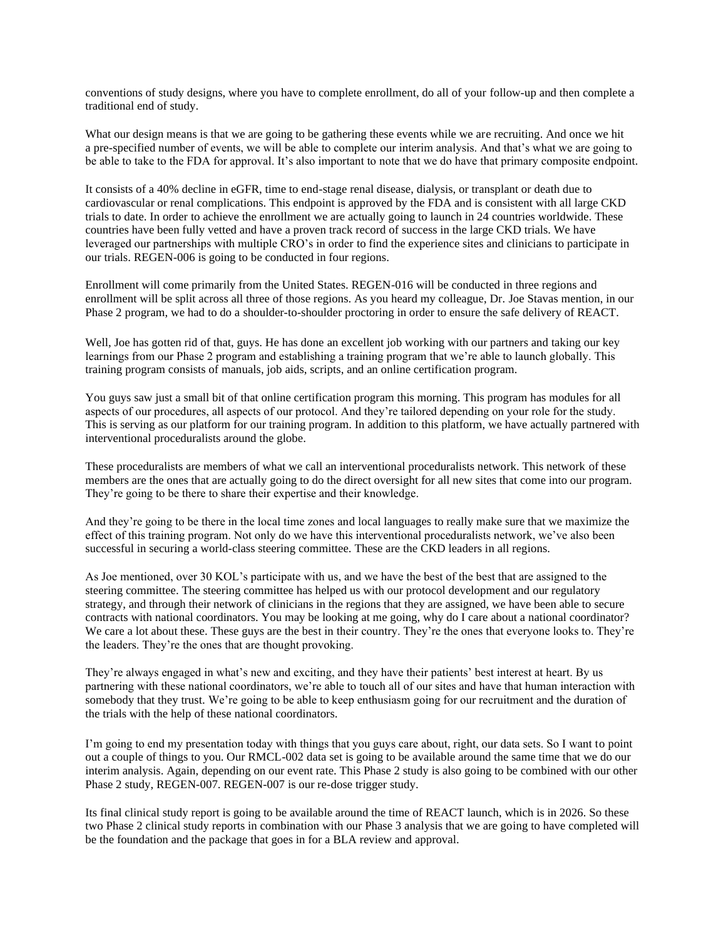conventions of study designs, where you have to complete enrollment, do all of your follow-up and then complete a traditional end of study.

What our design means is that we are going to be gathering these events while we are recruiting. And once we hit a pre-specified number of events, we will be able to complete our interim analysis. And that's what we are going to be able to take to the FDA for approval. It's also important to note that we do have that primary composite endpoint.

It consists of a 40% decline in eGFR, time to end-stage renal disease, dialysis, or transplant or death due to cardiovascular or renal complications. This endpoint is approved by the FDA and is consistent with all large CKD trials to date. In order to achieve the enrollment we are actually going to launch in 24 countries worldwide. These countries have been fully vetted and have a proven track record of success in the large CKD trials. We have leveraged our partnerships with multiple CRO's in order to find the experience sites and clinicians to participate in our trials. REGEN-006 is going to be conducted in four regions.

Enrollment will come primarily from the United States. REGEN-016 will be conducted in three regions and enrollment will be split across all three of those regions. As you heard my colleague, Dr. Joe Stavas mention, in our Phase 2 program, we had to do a shoulder-to-shoulder proctoring in order to ensure the safe delivery of REACT.

Well, Joe has gotten rid of that, guys. He has done an excellent job working with our partners and taking our key learnings from our Phase 2 program and establishing a training program that we're able to launch globally. This training program consists of manuals, job aids, scripts, and an online certification program.

You guys saw just a small bit of that online certification program this morning. This program has modules for all aspects of our procedures, all aspects of our protocol. And they're tailored depending on your role for the study. This is serving as our platform for our training program. In addition to this platform, we have actually partnered with interventional proceduralists around the globe.

These proceduralists are members of what we call an interventional proceduralists network. This network of these members are the ones that are actually going to do the direct oversight for all new sites that come into our program. They're going to be there to share their expertise and their knowledge.

And they're going to be there in the local time zones and local languages to really make sure that we maximize the effect of this training program. Not only do we have this interventional proceduralists network, we've also been successful in securing a world-class steering committee. These are the CKD leaders in all regions.

As Joe mentioned, over 30 KOL's participate with us, and we have the best of the best that are assigned to the steering committee. The steering committee has helped us with our protocol development and our regulatory strategy, and through their network of clinicians in the regions that they are assigned, we have been able to secure contracts with national coordinators. You may be looking at me going, why do I care about a national coordinator? We care a lot about these. These guys are the best in their country. They're the ones that everyone looks to. They're the leaders. They're the ones that are thought provoking.

They're always engaged in what's new and exciting, and they have their patients' best interest at heart. By us partnering with these national coordinators, we're able to touch all of our sites and have that human interaction with somebody that they trust. We're going to be able to keep enthusiasm going for our recruitment and the duration of the trials with the help of these national coordinators.

I'm going to end my presentation today with things that you guys care about, right, our data sets. So I want to point out a couple of things to you. Our RMCL-002 data set is going to be available around the same time that we do our interim analysis. Again, depending on our event rate. This Phase 2 study is also going to be combined with our other Phase 2 study, REGEN-007. REGEN-007 is our re-dose trigger study.

Its final clinical study report is going to be available around the time of REACT launch, which is in 2026. So these two Phase 2 clinical study reports in combination with our Phase 3 analysis that we are going to have completed will be the foundation and the package that goes in for a BLA review and approval.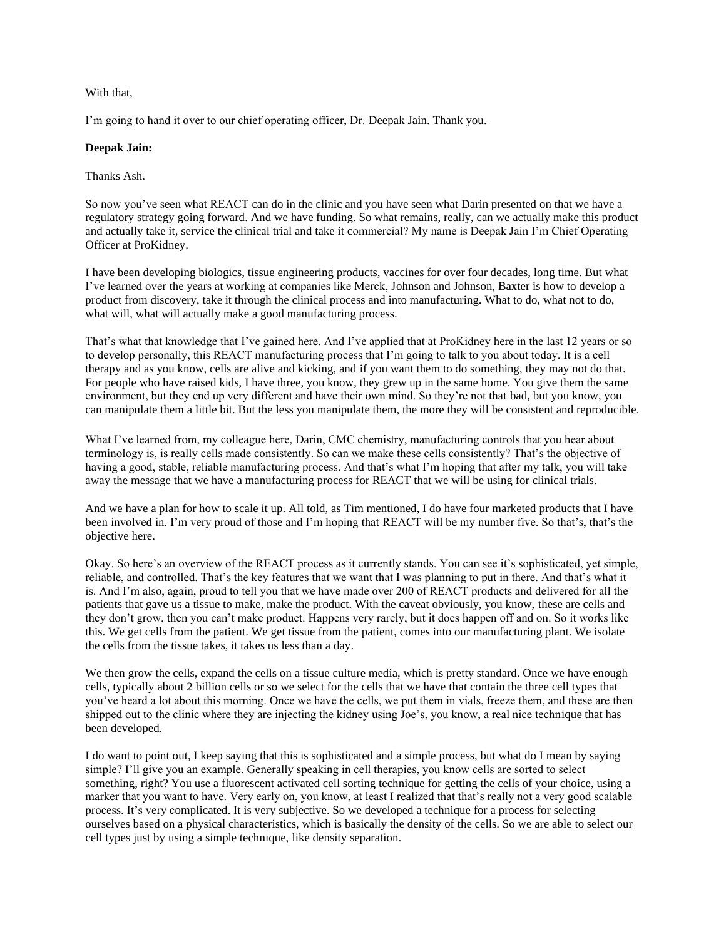## With that,

I'm going to hand it over to our chief operating officer, Dr. Deepak Jain. Thank you.

## **Deepak Jain:**

# Thanks Ash.

So now you've seen what REACT can do in the clinic and you have seen what Darin presented on that we have a regulatory strategy going forward. And we have funding. So what remains, really, can we actually make this product and actually take it, service the clinical trial and take it commercial? My name is Deepak Jain I'm Chief Operating Officer at ProKidney.

I have been developing biologics, tissue engineering products, vaccines for over four decades, long time. But what I've learned over the years at working at companies like Merck, Johnson and Johnson, Baxter is how to develop a product from discovery, take it through the clinical process and into manufacturing. What to do, what not to do, what will, what will actually make a good manufacturing process.

That's what that knowledge that I've gained here. And I've applied that at ProKidney here in the last 12 years or so to develop personally, this REACT manufacturing process that I'm going to talk to you about today. It is a cell therapy and as you know, cells are alive and kicking, and if you want them to do something, they may not do that. For people who have raised kids, I have three, you know, they grew up in the same home. You give them the same environment, but they end up very different and have their own mind. So they're not that bad, but you know, you can manipulate them a little bit. But the less you manipulate them, the more they will be consistent and reproducible.

What I've learned from, my colleague here, Darin, CMC chemistry, manufacturing controls that you hear about terminology is, is really cells made consistently. So can we make these cells consistently? That's the objective of having a good, stable, reliable manufacturing process. And that's what I'm hoping that after my talk, you will take away the message that we have a manufacturing process for REACT that we will be using for clinical trials.

And we have a plan for how to scale it up. All told, as Tim mentioned, I do have four marketed products that I have been involved in. I'm very proud of those and I'm hoping that REACT will be my number five. So that's, that's the objective here.

Okay. So here's an overview of the REACT process as it currently stands. You can see it's sophisticated, yet simple, reliable, and controlled. That's the key features that we want that I was planning to put in there. And that's what it is. And I'm also, again, proud to tell you that we have made over 200 of REACT products and delivered for all the patients that gave us a tissue to make, make the product. With the caveat obviously, you know, these are cells and they don't grow, then you can't make product. Happens very rarely, but it does happen off and on. So it works like this. We get cells from the patient. We get tissue from the patient, comes into our manufacturing plant. We isolate the cells from the tissue takes, it takes us less than a day.

We then grow the cells, expand the cells on a tissue culture media, which is pretty standard. Once we have enough cells, typically about 2 billion cells or so we select for the cells that we have that contain the three cell types that you've heard a lot about this morning. Once we have the cells, we put them in vials, freeze them, and these are then shipped out to the clinic where they are injecting the kidney using Joe's, you know, a real nice technique that has been developed.

I do want to point out, I keep saying that this is sophisticated and a simple process, but what do I mean by saying simple? I'll give you an example. Generally speaking in cell therapies, you know cells are sorted to select something, right? You use a fluorescent activated cell sorting technique for getting the cells of your choice, using a marker that you want to have. Very early on, you know, at least I realized that that's really not a very good scalable process. It's very complicated. It is very subjective. So we developed a technique for a process for selecting ourselves based on a physical characteristics, which is basically the density of the cells. So we are able to select our cell types just by using a simple technique, like density separation.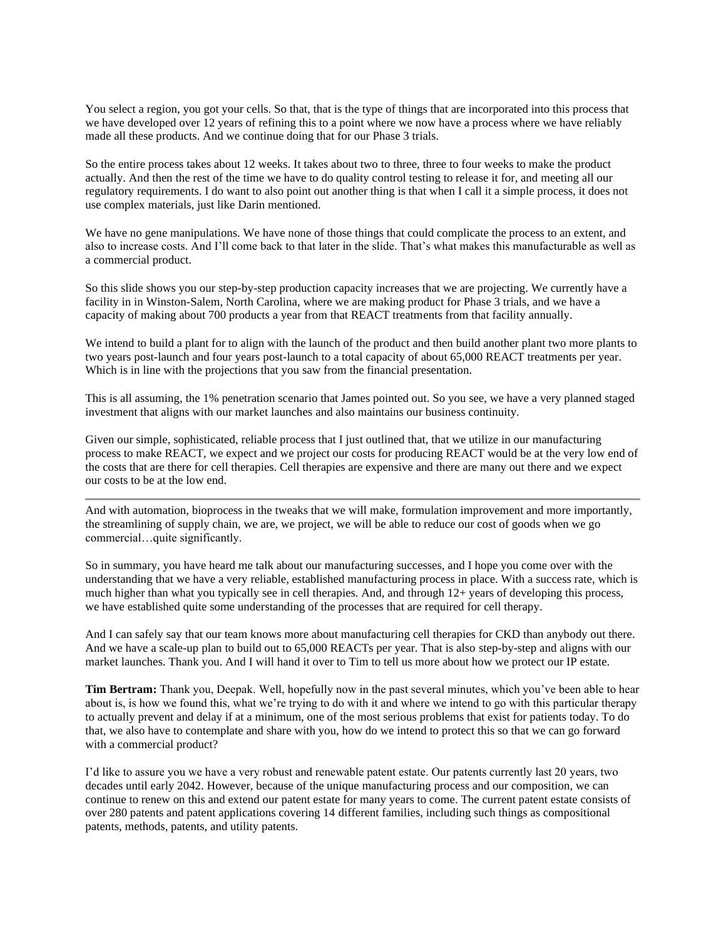You select a region, you got your cells. So that, that is the type of things that are incorporated into this process that we have developed over 12 years of refining this to a point where we now have a process where we have reliably made all these products. And we continue doing that for our Phase 3 trials.

So the entire process takes about 12 weeks. It takes about two to three, three to four weeks to make the product actually. And then the rest of the time we have to do quality control testing to release it for, and meeting all our regulatory requirements. I do want to also point out another thing is that when I call it a simple process, it does not use complex materials, just like Darin mentioned.

We have no gene manipulations. We have none of those things that could complicate the process to an extent, and also to increase costs. And I'll come back to that later in the slide. That's what makes this manufacturable as well as a commercial product.

So this slide shows you our step-by-step production capacity increases that we are projecting. We currently have a facility in in Winston-Salem, North Carolina, where we are making product for Phase 3 trials, and we have a capacity of making about 700 products a year from that REACT treatments from that facility annually.

We intend to build a plant for to align with the launch of the product and then build another plant two more plants to two years post-launch and four years post-launch to a total capacity of about 65,000 REACT treatments per year. Which is in line with the projections that you saw from the financial presentation.

This is all assuming, the 1% penetration scenario that James pointed out. So you see, we have a very planned staged investment that aligns with our market launches and also maintains our business continuity.

Given our simple, sophisticated, reliable process that I just outlined that, that we utilize in our manufacturing process to make REACT, we expect and we project our costs for producing REACT would be at the very low end of the costs that are there for cell therapies. Cell therapies are expensive and there are many out there and we expect our costs to be at the low end.

And with automation, bioprocess in the tweaks that we will make, formulation improvement and more importantly, the streamlining of supply chain, we are, we project, we will be able to reduce our cost of goods when we go commercial…quite significantly.

So in summary, you have heard me talk about our manufacturing successes, and I hope you come over with the understanding that we have a very reliable, established manufacturing process in place. With a success rate, which is much higher than what you typically see in cell therapies. And, and through 12+ years of developing this process, we have established quite some understanding of the processes that are required for cell therapy.

And I can safely say that our team knows more about manufacturing cell therapies for CKD than anybody out there. And we have a scale-up plan to build out to 65,000 REACTs per year. That is also step-by-step and aligns with our market launches. Thank you. And I will hand it over to Tim to tell us more about how we protect our IP estate.

**Tim Bertram:** Thank you, Deepak. Well, hopefully now in the past several minutes, which you've been able to hear about is, is how we found this, what we're trying to do with it and where we intend to go with this particular therapy to actually prevent and delay if at a minimum, one of the most serious problems that exist for patients today. To do that, we also have to contemplate and share with you, how do we intend to protect this so that we can go forward with a commercial product?

I'd like to assure you we have a very robust and renewable patent estate. Our patents currently last 20 years, two decades until early 2042. However, because of the unique manufacturing process and our composition, we can continue to renew on this and extend our patent estate for many years to come. The current patent estate consists of over 280 patents and patent applications covering 14 different families, including such things as compositional patents, methods, patents, and utility patents.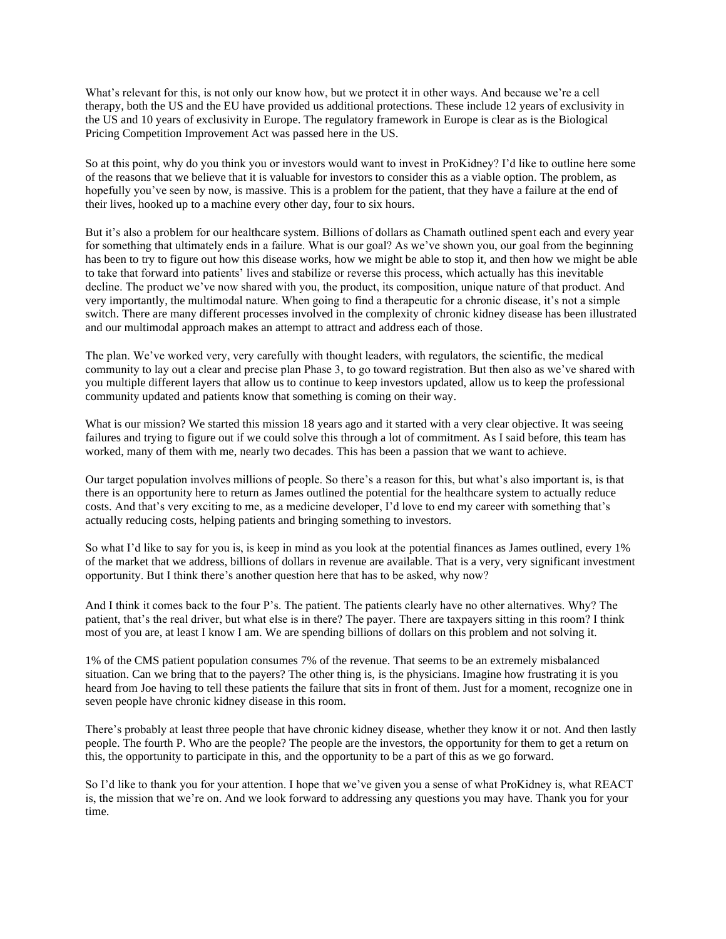What's relevant for this, is not only our know how, but we protect it in other ways. And because we're a cell therapy, both the US and the EU have provided us additional protections. These include 12 years of exclusivity in the US and 10 years of exclusivity in Europe. The regulatory framework in Europe is clear as is the Biological Pricing Competition Improvement Act was passed here in the US.

So at this point, why do you think you or investors would want to invest in ProKidney? I'd like to outline here some of the reasons that we believe that it is valuable for investors to consider this as a viable option. The problem, as hopefully you've seen by now, is massive. This is a problem for the patient, that they have a failure at the end of their lives, hooked up to a machine every other day, four to six hours.

But it's also a problem for our healthcare system. Billions of dollars as Chamath outlined spent each and every year for something that ultimately ends in a failure. What is our goal? As we've shown you, our goal from the beginning has been to try to figure out how this disease works, how we might be able to stop it, and then how we might be able to take that forward into patients' lives and stabilize or reverse this process, which actually has this inevitable decline. The product we've now shared with you, the product, its composition, unique nature of that product. And very importantly, the multimodal nature. When going to find a therapeutic for a chronic disease, it's not a simple switch. There are many different processes involved in the complexity of chronic kidney disease has been illustrated and our multimodal approach makes an attempt to attract and address each of those.

The plan. We've worked very, very carefully with thought leaders, with regulators, the scientific, the medical community to lay out a clear and precise plan Phase 3, to go toward registration. But then also as we've shared with you multiple different layers that allow us to continue to keep investors updated, allow us to keep the professional community updated and patients know that something is coming on their way.

What is our mission? We started this mission 18 years ago and it started with a very clear objective. It was seeing failures and trying to figure out if we could solve this through a lot of commitment. As I said before, this team has worked, many of them with me, nearly two decades. This has been a passion that we want to achieve.

Our target population involves millions of people. So there's a reason for this, but what's also important is, is that there is an opportunity here to return as James outlined the potential for the healthcare system to actually reduce costs. And that's very exciting to me, as a medicine developer, I'd love to end my career with something that's actually reducing costs, helping patients and bringing something to investors.

So what I'd like to say for you is, is keep in mind as you look at the potential finances as James outlined, every 1% of the market that we address, billions of dollars in revenue are available. That is a very, very significant investment opportunity. But I think there's another question here that has to be asked, why now?

And I think it comes back to the four P's. The patient. The patients clearly have no other alternatives. Why? The patient, that's the real driver, but what else is in there? The payer. There are taxpayers sitting in this room? I think most of you are, at least I know I am. We are spending billions of dollars on this problem and not solving it.

1% of the CMS patient population consumes 7% of the revenue. That seems to be an extremely misbalanced situation. Can we bring that to the payers? The other thing is, is the physicians. Imagine how frustrating it is you heard from Joe having to tell these patients the failure that sits in front of them. Just for a moment, recognize one in seven people have chronic kidney disease in this room.

There's probably at least three people that have chronic kidney disease, whether they know it or not. And then lastly people. The fourth P. Who are the people? The people are the investors, the opportunity for them to get a return on this, the opportunity to participate in this, and the opportunity to be a part of this as we go forward.

So I'd like to thank you for your attention. I hope that we've given you a sense of what ProKidney is, what REACT is, the mission that we're on. And we look forward to addressing any questions you may have. Thank you for your time.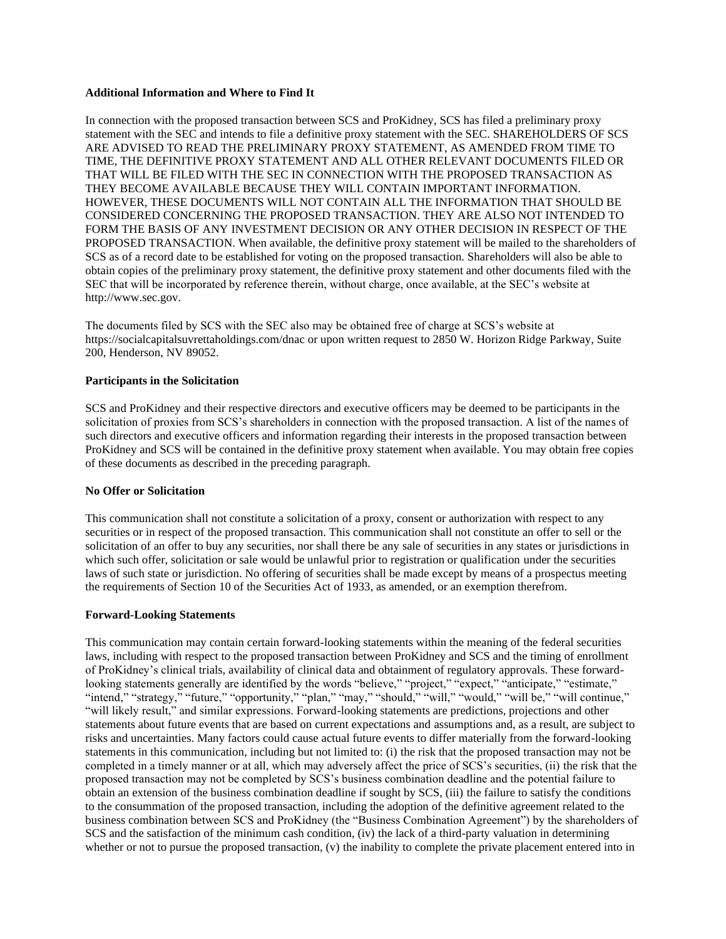#### **Additional Information and Where to Find It**

In connection with the proposed transaction between SCS and ProKidney, SCS has filed a preliminary proxy statement with the SEC and intends to file a definitive proxy statement with the SEC. SHAREHOLDERS OF SCS ARE ADVISED TO READ THE PRELIMINARY PROXY STATEMENT, AS AMENDED FROM TIME TO TIME, THE DEFINITIVE PROXY STATEMENT AND ALL OTHER RELEVANT DOCUMENTS FILED OR THAT WILL BE FILED WITH THE SEC IN CONNECTION WITH THE PROPOSED TRANSACTION AS THEY BECOME AVAILABLE BECAUSE THEY WILL CONTAIN IMPORTANT INFORMATION. HOWEVER, THESE DOCUMENTS WILL NOT CONTAIN ALL THE INFORMATION THAT SHOULD BE CONSIDERED CONCERNING THE PROPOSED TRANSACTION. THEY ARE ALSO NOT INTENDED TO FORM THE BASIS OF ANY INVESTMENT DECISION OR ANY OTHER DECISION IN RESPECT OF THE PROPOSED TRANSACTION. When available, the definitive proxy statement will be mailed to the shareholders of SCS as of a record date to be established for voting on the proposed transaction. Shareholders will also be able to obtain copies of the preliminary proxy statement, the definitive proxy statement and other documents filed with the SEC that will be incorporated by reference therein, without charge, once available, at the SEC's website at http://www.sec.gov.

The documents filed by SCS with the SEC also may be obtained free of charge at SCS's website at https://socialcapitalsuvrettaholdings.com/dnac or upon written request to 2850 W. Horizon Ridge Parkway, Suite 200, Henderson, NV 89052.

### **Participants in the Solicitation**

SCS and ProKidney and their respective directors and executive officers may be deemed to be participants in the solicitation of proxies from SCS's shareholders in connection with the proposed transaction. A list of the names of such directors and executive officers and information regarding their interests in the proposed transaction between ProKidney and SCS will be contained in the definitive proxy statement when available. You may obtain free copies of these documents as described in the preceding paragraph.

### **No Offer or Solicitation**

This communication shall not constitute a solicitation of a proxy, consent or authorization with respect to any securities or in respect of the proposed transaction. This communication shall not constitute an offer to sell or the solicitation of an offer to buy any securities, nor shall there be any sale of securities in any states or jurisdictions in which such offer, solicitation or sale would be unlawful prior to registration or qualification under the securities laws of such state or jurisdiction. No offering of securities shall be made except by means of a prospectus meeting the requirements of Section 10 of the Securities Act of 1933, as amended, or an exemption therefrom.

### **Forward-Looking Statements**

This communication may contain certain forward-looking statements within the meaning of the federal securities laws, including with respect to the proposed transaction between ProKidney and SCS and the timing of enrollment of ProKidney's clinical trials, availability of clinical data and obtainment of regulatory approvals. These forwardlooking statements generally are identified by the words "believe," "project," "expect," "anticipate," "estimate," "intend," "strategy," "future," "opportunity," "plan," "may," "should," "will," "would," "will be," "will continue," "will likely result," and similar expressions. Forward-looking statements are predictions, projections and other statements about future events that are based on current expectations and assumptions and, as a result, are subject to risks and uncertainties. Many factors could cause actual future events to differ materially from the forward-looking statements in this communication, including but not limited to: (i) the risk that the proposed transaction may not be completed in a timely manner or at all, which may adversely affect the price of SCS's securities, (ii) the risk that the proposed transaction may not be completed by SCS's business combination deadline and the potential failure to obtain an extension of the business combination deadline if sought by SCS, (iii) the failure to satisfy the conditions to the consummation of the proposed transaction, including the adoption of the definitive agreement related to the business combination between SCS and ProKidney (the "Business Combination Agreement") by the shareholders of SCS and the satisfaction of the minimum cash condition, (iv) the lack of a third-party valuation in determining whether or not to pursue the proposed transaction, (v) the inability to complete the private placement entered into in